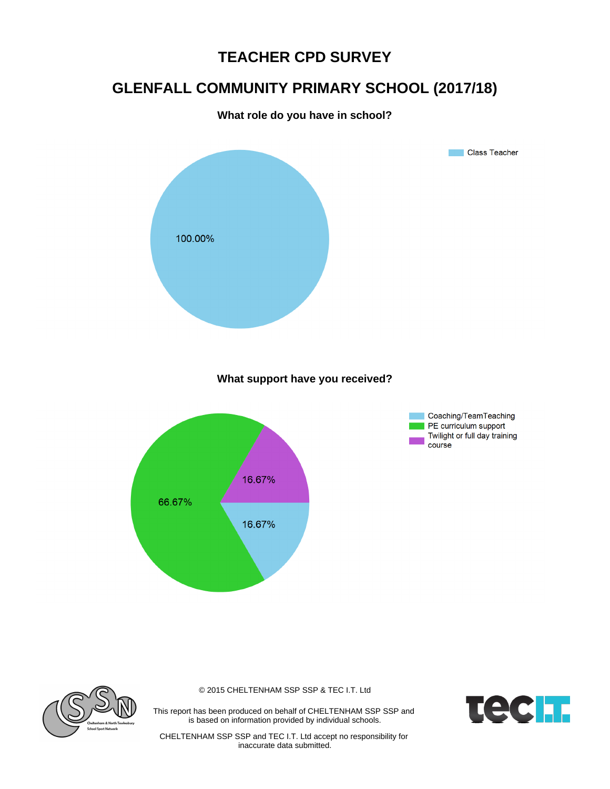## **TEACHER CPD SURVEY**

## **GLENFALL COMMUNITY PRIMARY SCHOOL (2017/18)**

## **What role do you have in school?**





© 2015 CHELTENHAM SSP SSP & TEC I.T. Ltd

This report has been produced on behalf of CHELTENHAM SSP SSP and is based on information provided by individual schools.

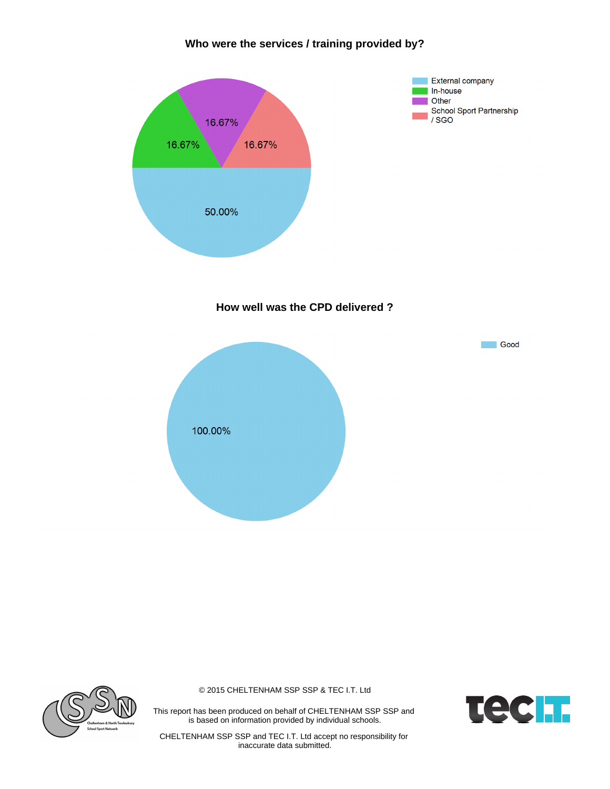**Who were the services / training provided by?**



**How well was the CPD delivered ?**





© 2015 CHELTENHAM SSP SSP & TEC I.T. Ltd

This report has been produced on behalf of CHELTENHAM SSP SSP and is based on information provided by individual schools.

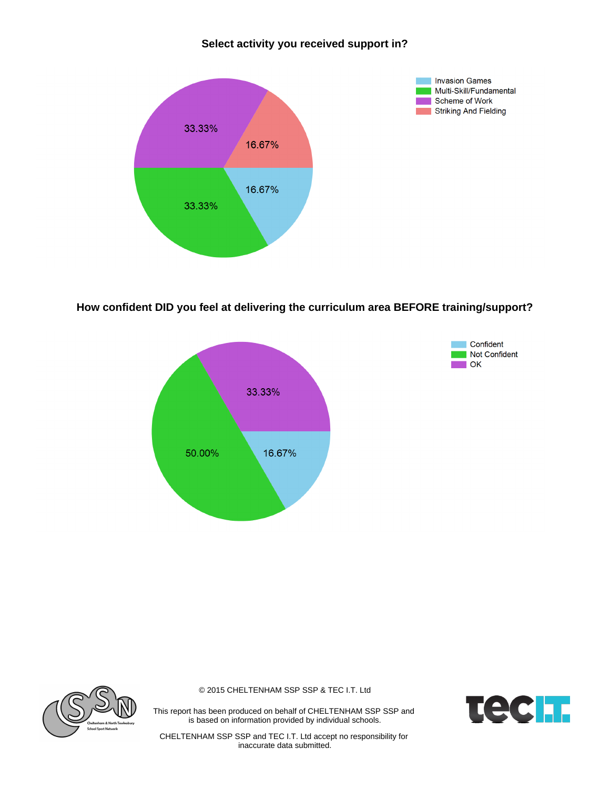**Select activity you received support in?**



**How confident DID you feel at delivering the curriculum area BEFORE training/support?**





© 2015 CHELTENHAM SSP SSP & TEC I.T. Ltd

This report has been produced on behalf of CHELTENHAM SSP SSP and is based on information provided by individual schools.

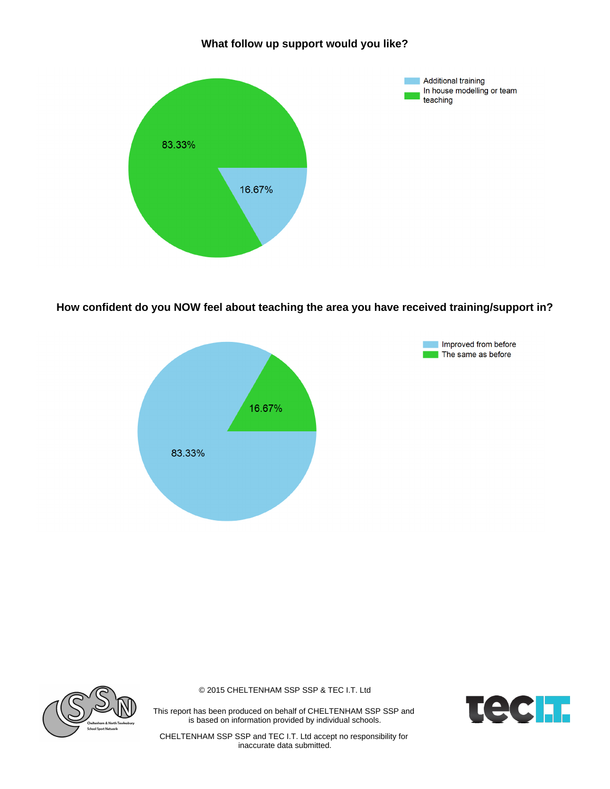**What follow up support would you like?**



**How confident do you NOW feel about teaching the area you have received training/support in?**





© 2015 CHELTENHAM SSP SSP & TEC I.T. Ltd

This report has been produced on behalf of CHELTENHAM SSP SSP and is based on information provided by individual schools.

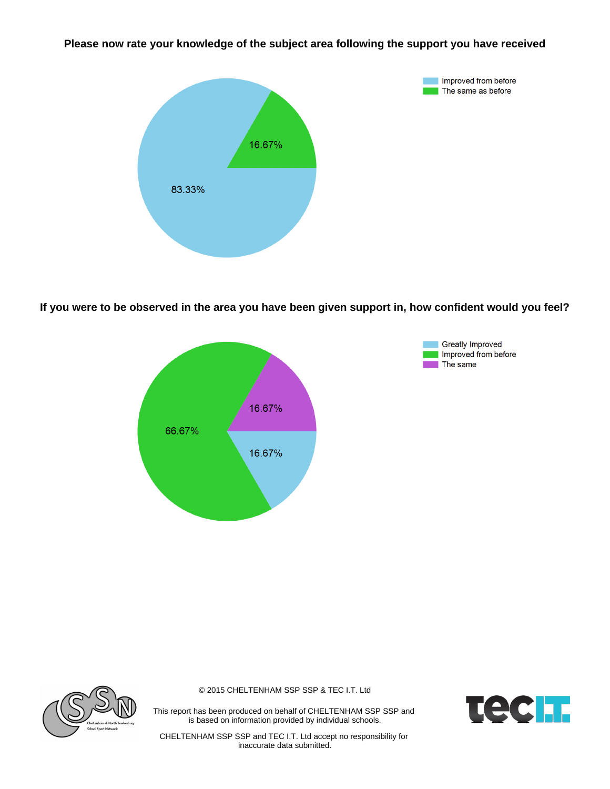**Please now rate your knowledge of the subject area following the support you have received**



**If you were to be observed in the area you have been given support in, how confident would you feel?**





© 2015 CHELTENHAM SSP SSP & TEC I.T. Ltd

This report has been produced on behalf of CHELTENHAM SSP SSP and is based on information provided by individual schools.